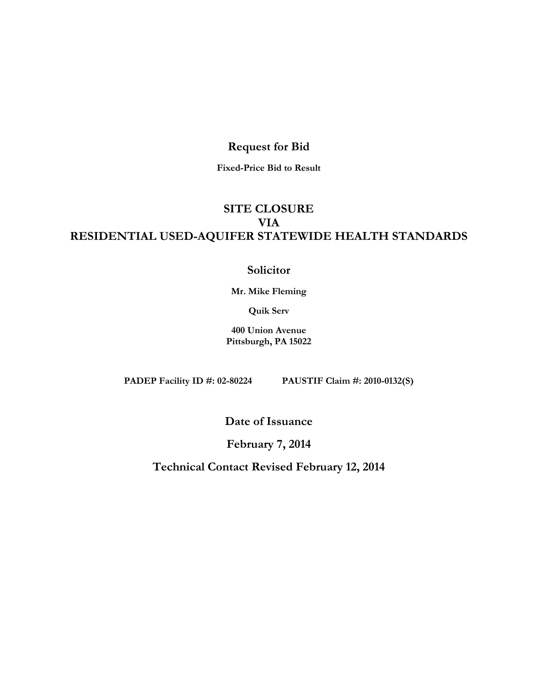## **Request for Bid**

**Fixed-Price Bid to Result**

# **SITE CLOSURE VIA RESIDENTIAL USED-AQUIFER STATEWIDE HEALTH STANDARDS**

## **Solicitor**

**Mr. Mike Fleming**

**Quik Serv**

**400 Union Avenue Pittsburgh, PA 15022**

**PADEP Facility ID #: 02-80224 PAUSTIF Claim #: 2010-0132(S)**

**Date of Issuance**

**February 7, 2014**

**Technical Contact Revised February 12, 2014**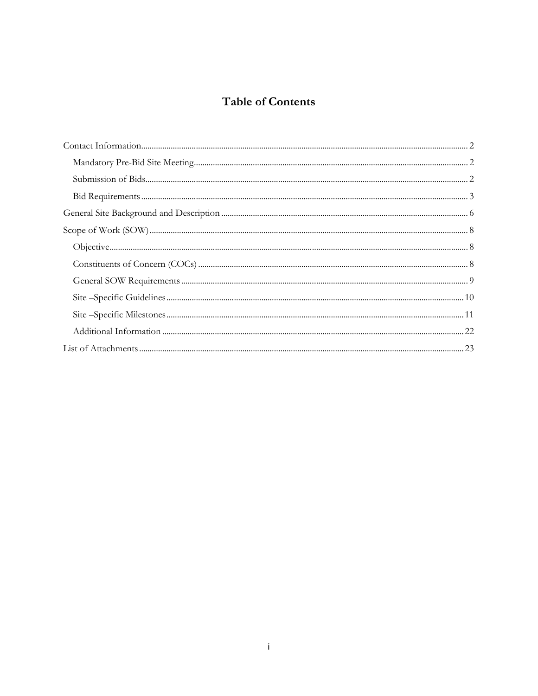# **Table of Contents**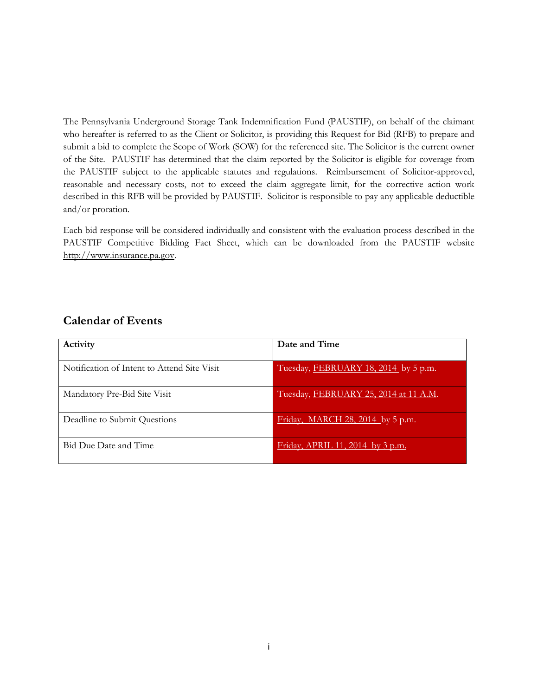The Pennsylvania Underground Storage Tank Indemnification Fund (PAUSTIF), on behalf of the claimant who hereafter is referred to as the Client or Solicitor, is providing this Request for Bid (RFB) to prepare and submit a bid to complete the Scope of Work (SOW) for the referenced site. The Solicitor is the current owner of the Site. PAUSTIF has determined that the claim reported by the Solicitor is eligible for coverage from the PAUSTIF subject to the applicable statutes and regulations. Reimbursement of Solicitor-approved, reasonable and necessary costs, not to exceed the claim aggregate limit, for the corrective action work described in this RFB will be provided by PAUSTIF. Solicitor is responsible to pay any applicable deductible and/or proration.

Each bid response will be considered individually and consistent with the evaluation process described in the PAUSTIF Competitive Bidding Fact Sheet, which can be downloaded from the PAUSTIF website [http://www.insurance.pa.gov.](http://www.insurance.pa.gov/)

## **Calendar of Events**

| Activity                                    | Date and Time                         |
|---------------------------------------------|---------------------------------------|
| Notification of Intent to Attend Site Visit | Tuesday, FEBRUARY 18, 2014 by 5 p.m.  |
| Mandatory Pre-Bid Site Visit                | Tuesday, FEBRUARY 25, 2014 at 11 A.M. |
| Deadline to Submit Questions                | Friday, MARCH 28, 2014 by 5 p.m.      |
| Bid Due Date and Time                       | Friday, APRIL 11, 2014 by 3 p.m.      |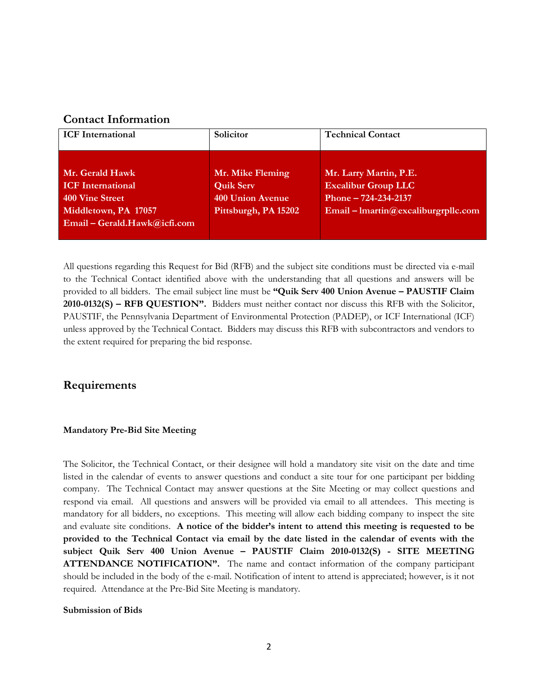## **Contact Information**

| <b>ICF</b> International                                                                                               | Solicitor                                                                               | <b>Technical Contact</b>                                                                                               |
|------------------------------------------------------------------------------------------------------------------------|-----------------------------------------------------------------------------------------|------------------------------------------------------------------------------------------------------------------------|
| Mr. Gerald Hawk<br><b>ICF</b> International<br>400 Vine Street<br>Middletown, PA 17057<br>Email - Gerald.Hawk@icfi.com | Mr. Mike Fleming<br><b>Quik Serv</b><br><b>400 Union Avenue</b><br>Pittsburgh, PA 15202 | Mr. Larry Martin, P.E.<br><b>Excalibur Group LLC</b><br>Phone $-724-234-2137$<br>$Email - Imartin@excaliburgrpllc.com$ |

All questions regarding this Request for Bid (RFB) and the subject site conditions must be directed via e-mail to the Technical Contact identified above with the understanding that all questions and answers will be provided to all bidders. The email subject line must be **"Quik Serv 400 Union Avenue – PAUSTIF Claim 2010-0132(S) – RFB QUESTION".** Bidders must neither contact nor discuss this RFB with the Solicitor, PAUSTIF, the Pennsylvania Department of Environmental Protection (PADEP), or ICF International (ICF) unless approved by the Technical Contact. Bidders may discuss this RFB with subcontractors and vendors to the extent required for preparing the bid response.

## **Requirements**

### **Mandatory Pre-Bid Site Meeting**

The Solicitor, the Technical Contact, or their designee will hold a mandatory site visit on the date and time listed in the calendar of events to answer questions and conduct a site tour for one participant per bidding company. The Technical Contact may answer questions at the Site Meeting or may collect questions and respond via email. All questions and answers will be provided via email to all attendees. This meeting is mandatory for all bidders, no exceptions. This meeting will allow each bidding company to inspect the site and evaluate site conditions. **A notice of the bidder's intent to attend this meeting is requested to be provided to the Technical Contact via email by the date listed in the calendar of events with the subject Quik Serv 400 Union Avenue – PAUSTIF Claim 2010-0132(S) - SITE MEETING ATTENDANCE NOTIFICATION".** The name and contact information of the company participant should be included in the body of the e-mail. Notification of intent to attend is appreciated; however, is it not required. Attendance at the Pre-Bid Site Meeting is mandatory.

### **Submission of Bids**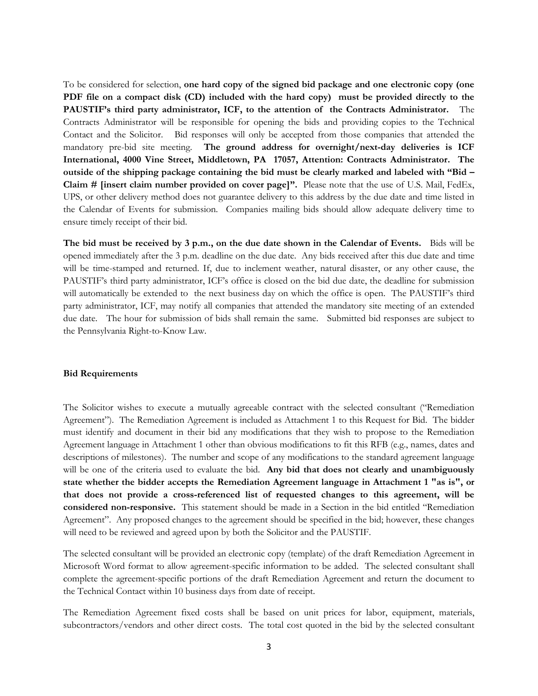To be considered for selection, **one hard copy of the signed bid package and one electronic copy (one PDF file on a compact disk (CD) included with the hard copy) must be provided directly to the PAUSTIF's third party administrator, ICF, to the attention of the Contracts Administrator.** The Contracts Administrator will be responsible for opening the bids and providing copies to the Technical Contact and the Solicitor. Bid responses will only be accepted from those companies that attended the mandatory pre-bid site meeting. **The ground address for overnight/next-day deliveries is ICF International, 4000 Vine Street, Middletown, PA 17057, Attention: Contracts Administrator. The outside of the shipping package containing the bid must be clearly marked and labeled with "Bid – Claim # [insert claim number provided on cover page]".** Please note that the use of U.S. Mail, FedEx, UPS, or other delivery method does not guarantee delivery to this address by the due date and time listed in the Calendar of Events for submission. Companies mailing bids should allow adequate delivery time to ensure timely receipt of their bid.

**The bid must be received by 3 p.m., on the due date shown in the Calendar of Events.** Bids will be opened immediately after the 3 p.m. deadline on the due date. Any bids received after this due date and time will be time-stamped and returned. If, due to inclement weather, natural disaster, or any other cause, the PAUSTIF's third party administrator, ICF's office is closed on the bid due date, the deadline for submission will automatically be extended to the next business day on which the office is open. The PAUSTIF's third party administrator, ICF, may notify all companies that attended the mandatory site meeting of an extended due date. The hour for submission of bids shall remain the same. Submitted bid responses are subject to the Pennsylvania Right-to-Know Law.

#### **Bid Requirements**

The Solicitor wishes to execute a mutually agreeable contract with the selected consultant ("Remediation Agreement"). The Remediation Agreement is included as Attachment 1 to this Request for Bid. The bidder must identify and document in their bid any modifications that they wish to propose to the Remediation Agreement language in Attachment 1 other than obvious modifications to fit this RFB (e.g., names, dates and descriptions of milestones). The number and scope of any modifications to the standard agreement language will be one of the criteria used to evaluate the bid. **Any bid that does not clearly and unambiguously state whether the bidder accepts the Remediation Agreement language in Attachment 1 "as is", or that does not provide a cross-referenced list of requested changes to this agreement, will be considered non-responsive.** This statement should be made in a Section in the bid entitled "Remediation Agreement". Any proposed changes to the agreement should be specified in the bid; however, these changes will need to be reviewed and agreed upon by both the Solicitor and the PAUSTIF.

The selected consultant will be provided an electronic copy (template) of the draft Remediation Agreement in Microsoft Word format to allow agreement-specific information to be added. The selected consultant shall complete the agreement-specific portions of the draft Remediation Agreement and return the document to the Technical Contact within 10 business days from date of receipt.

The Remediation Agreement fixed costs shall be based on unit prices for labor, equipment, materials, subcontractors/vendors and other direct costs. The total cost quoted in the bid by the selected consultant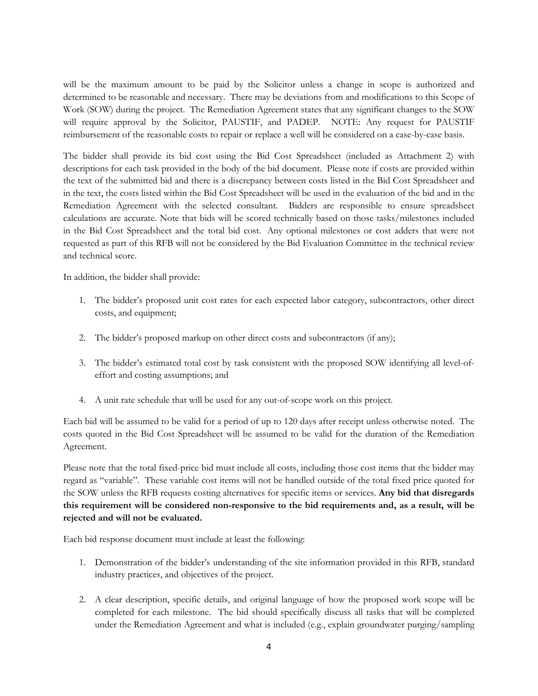will be the maximum amount to be paid by the Solicitor unless a change in scope is authorized and determined to be reasonable and necessary. There may be deviations from and modifications to this Scope of Work (SOW) during the project. The Remediation Agreement states that any significant changes to the SOW will require approval by the Solicitor, PAUSTIF, and PADEP. NOTE: Any request for PAUSTIF reimbursement of the reasonable costs to repair or replace a well will be considered on a case-by-case basis.

The bidder shall provide its bid cost using the Bid Cost Spreadsheet (included as Attachment 2) with descriptions for each task provided in the body of the bid document. Please note if costs are provided within the text of the submitted bid and there is a discrepancy between costs listed in the Bid Cost Spreadsheet and in the text, the costs listed within the Bid Cost Spreadsheet will be used in the evaluation of the bid and in the Remediation Agreement with the selected consultant. Bidders are responsible to ensure spreadsheet calculations are accurate. Note that bids will be scored technically based on those tasks/milestones included in the Bid Cost Spreadsheet and the total bid cost. Any optional milestones or cost adders that were not requested as part of this RFB will not be considered by the Bid Evaluation Committee in the technical review and technical score.

In addition, the bidder shall provide:

- 1. The bidder's proposed unit cost rates for each expected labor category, subcontractors, other direct costs, and equipment;
- 2. The bidder's proposed markup on other direct costs and subcontractors (if any);
- 3. The bidder's estimated total cost by task consistent with the proposed SOW identifying all level-ofeffort and costing assumptions; and
- 4. A unit rate schedule that will be used for any out-of-scope work on this project.

Each bid will be assumed to be valid for a period of up to 120 days after receipt unless otherwise noted. The costs quoted in the Bid Cost Spreadsheet will be assumed to be valid for the duration of the Remediation Agreement.

Please note that the total fixed-price bid must include all costs, including those cost items that the bidder may regard as "variable". These variable cost items will not be handled outside of the total fixed price quoted for the SOW unless the RFB requests costing alternatives for specific items or services. **Any bid that disregards this requirement will be considered non-responsive to the bid requirements and, as a result, will be rejected and will not be evaluated.**

Each bid response document must include at least the following:

- 1. Demonstration of the bidder's understanding of the site information provided in this RFB, standard industry practices, and objectives of the project.
- 2. A clear description, specific details, and original language of how the proposed work scope will be completed for each milestone. The bid should specifically discuss all tasks that will be completed under the Remediation Agreement and what is included (e.g., explain groundwater purging/sampling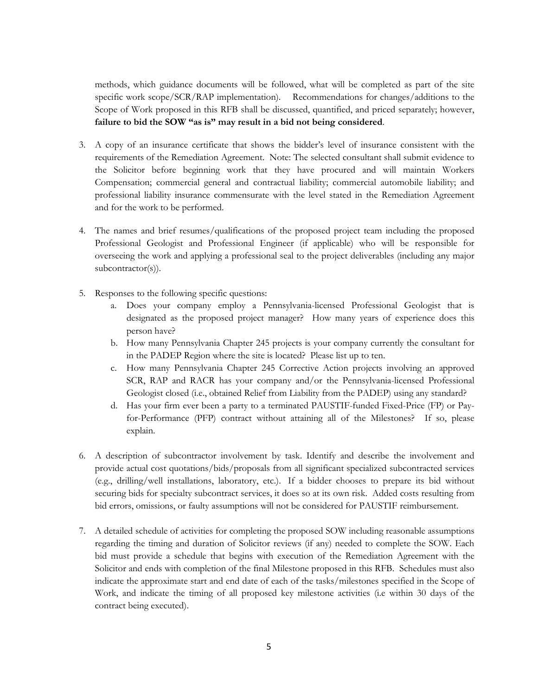methods, which guidance documents will be followed, what will be completed as part of the site specific work scope/SCR/RAP implementation). Recommendations for changes/additions to the Scope of Work proposed in this RFB shall be discussed, quantified, and priced separately; however, **failure to bid the SOW "as is" may result in a bid not being considered**.

- 3. A copy of an insurance certificate that shows the bidder's level of insurance consistent with the requirements of the Remediation Agreement. Note: The selected consultant shall submit evidence to the Solicitor before beginning work that they have procured and will maintain Workers Compensation; commercial general and contractual liability; commercial automobile liability; and professional liability insurance commensurate with the level stated in the Remediation Agreement and for the work to be performed.
- 4. The names and brief resumes/qualifications of the proposed project team including the proposed Professional Geologist and Professional Engineer (if applicable) who will be responsible for overseeing the work and applying a professional seal to the project deliverables (including any major subcontractor(s)).
- 5. Responses to the following specific questions:
	- a. Does your company employ a Pennsylvania-licensed Professional Geologist that is designated as the proposed project manager? How many years of experience does this person have?
	- b. How many Pennsylvania Chapter 245 projects is your company currently the consultant for in the PADEP Region where the site is located? Please list up to ten.
	- c. How many Pennsylvania Chapter 245 Corrective Action projects involving an approved SCR, RAP and RACR has your company and/or the Pennsylvania-licensed Professional Geologist closed (i.e., obtained Relief from Liability from the PADEP) using any standard?
	- d. Has your firm ever been a party to a terminated PAUSTIF-funded Fixed-Price (FP) or Payfor-Performance (PFP) contract without attaining all of the Milestones? If so, please explain.
- 6. A description of subcontractor involvement by task. Identify and describe the involvement and provide actual cost quotations/bids/proposals from all significant specialized subcontracted services (e.g., drilling/well installations, laboratory, etc.). If a bidder chooses to prepare its bid without securing bids for specialty subcontract services, it does so at its own risk. Added costs resulting from bid errors, omissions, or faulty assumptions will not be considered for PAUSTIF reimbursement.
- 7. A detailed schedule of activities for completing the proposed SOW including reasonable assumptions regarding the timing and duration of Solicitor reviews (if any) needed to complete the SOW. Each bid must provide a schedule that begins with execution of the Remediation Agreement with the Solicitor and ends with completion of the final Milestone proposed in this RFB. Schedules must also indicate the approximate start and end date of each of the tasks/milestones specified in the Scope of Work, and indicate the timing of all proposed key milestone activities (i.e within 30 days of the contract being executed).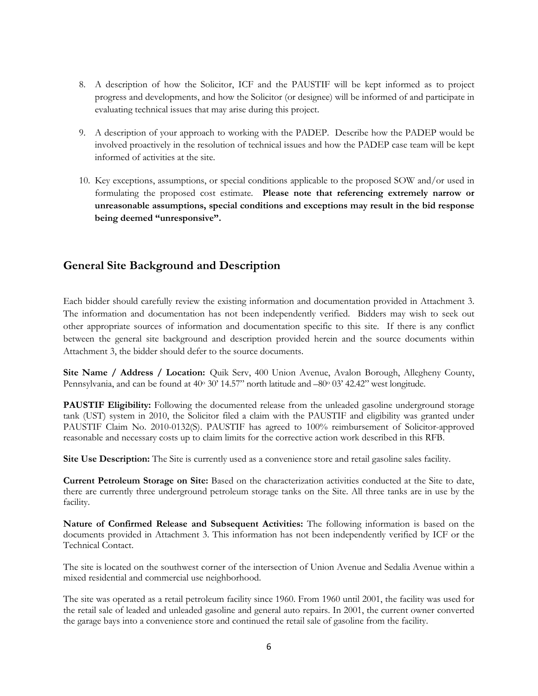- 8. A description of how the Solicitor, ICF and the PAUSTIF will be kept informed as to project progress and developments, and how the Solicitor (or designee) will be informed of and participate in evaluating technical issues that may arise during this project.
- 9. A description of your approach to working with the PADEP. Describe how the PADEP would be involved proactively in the resolution of technical issues and how the PADEP case team will be kept informed of activities at the site.
- 10. Key exceptions, assumptions, or special conditions applicable to the proposed SOW and/or used in formulating the proposed cost estimate. **Please note that referencing extremely narrow or unreasonable assumptions, special conditions and exceptions may result in the bid response being deemed "unresponsive".**

## **General Site Background and Description**

Each bidder should carefully review the existing information and documentation provided in Attachment 3. The information and documentation has not been independently verified. Bidders may wish to seek out other appropriate sources of information and documentation specific to this site. If there is any conflict between the general site background and description provided herein and the source documents within Attachment 3, the bidder should defer to the source documents.

**Site Name / Address / Location:** Quik Serv, 400 Union Avenue, Avalon Borough, Allegheny County, Pennsylvania, and can be found at 40° 30' 14.57" north latitude and -80° 03' 42.42" west longitude.

**PAUSTIF Eligibility:** Following the documented release from the unleaded gasoline underground storage tank (UST) system in 2010, the Solicitor filed a claim with the PAUSTIF and eligibility was granted under PAUSTIF Claim No. 2010-0132(S). PAUSTIF has agreed to 100% reimbursement of Solicitor-approved reasonable and necessary costs up to claim limits for the corrective action work described in this RFB.

**Site Use Description:** The Site is currently used as a convenience store and retail gasoline sales facility.

**Current Petroleum Storage on Site:** Based on the characterization activities conducted at the Site to date, there are currently three underground petroleum storage tanks on the Site. All three tanks are in use by the facility.

**Nature of Confirmed Release and Subsequent Activities:** The following information is based on the documents provided in Attachment 3. This information has not been independently verified by ICF or the Technical Contact.

The site is located on the southwest corner of the intersection of Union Avenue and Sedalia Avenue within a mixed residential and commercial use neighborhood.

The site was operated as a retail petroleum facility since 1960. From 1960 until 2001, the facility was used for the retail sale of leaded and unleaded gasoline and general auto repairs. In 2001, the current owner converted the garage bays into a convenience store and continued the retail sale of gasoline from the facility.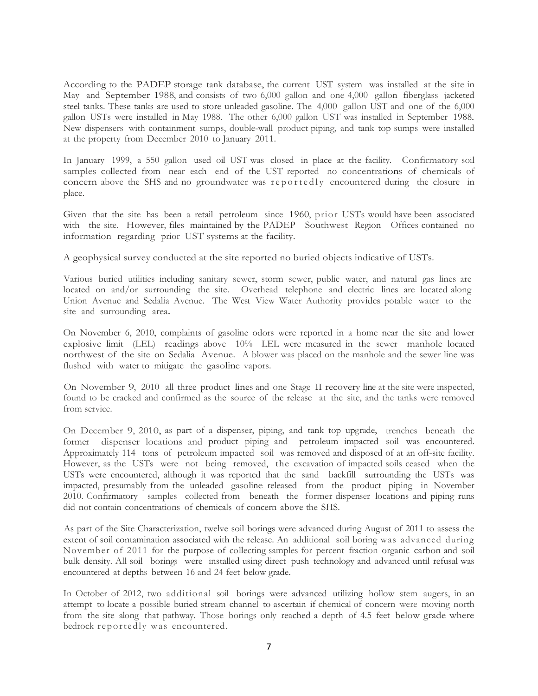According to the PADEP storage tank database, the current UST system was installed at the site in May and September 1988, and consists of two 6,000 gallon and one 4,000 gallon fiberglass jacketed steel tanks. These tanks are used to store unleaded gasoline. The 4,000 gallon UST and one of the 6,000 gallon USTs were installed in May 1988. The other 6,000 gallon UST was installed in September 1988. New dispensers with containment sumps, double-wall product piping, and tank top sumps were installed at the property from December 2010 to January 2011.

In January 1999, a 550 gallon used oil UST was closed in place at the facility. Confirmatory soil samples collected from near each end of the UST reported no concentrations of chemicals of concern above the SHS and no groundwater was reportedly encountered during the closure in place.

Given that the site has been a retail petroleum since 1960, prior USTs would have been associated with the site. However, files maintained by the PADEP Southwest Region Offices contained no information regarding prior UST systems at the facility.

A geophysical survey conducted at the site reported no buried objects indicative of USTs.

Various buried utilities including sanitary sewer, storm sewer, public water, and natural gas lines are located on and/or surrounding the site. Overhead telephone and electric lines are located along Union Avenue and Sedalia Avenue. The West View Water Authority provides potable water to the site and surrounding area.

On November 6, 2010, complaints of gasoline odors were reported in a home near the site and lower explosive limit (LEL) readings above 10% LEL were measured in the sewer manhole located northwest of the site on Sedalia Avenue. A blower was placed on the manhole and the sewer line was flushed with water to mitigate the gasoline vapors.

On November 9, 2010 all three product lines and one Stage II recovery line at the site were inspected, found to be cracked and confirmed as the source of the release at the site, and the tanks were removed from service.

On December 9, 2010, as part of <sup>a</sup> dispenser, piping, and tank top upgrade, trenches beneath the former dispenser locations and product piping and petroleum impacted soil was encountered. Approximately 114 tons of petroleum impacted soil was removed and disposed of at an off-site facility. However, as the USTs were not being removed, the excavation of impacted soils ceased when the USTs were encountered, although it was reported that the sand backfill surrounding the USTs was impacted, presumably from the unleaded gasoline released from the product piping in November 2010. Confirmatory samples collected from beneath the former dispenser locations and piping runs did not contain concentrations of chemicals of concern above the SHS.

As part of the Site Characterization, twelve soil borings were advanced during August of 2011 to assess the extent of soil contamination associated with the release. An additional soil boring was advanced during November of 2011 for the purpose of collecting samples for percent fraction organic carbon and soil bulk density. All soil borings were installed using direct push technology and advanced until refusal was encountered at depths between 16 and 24 feet below grade.

In October of 2012, two additional soil borings were advanced utilizing hollow stem augers, in an attempt to locate a possible buried stream channel to ascertain if chemical of concern were moving north from the site along that pathway. Those borings only reached a depth of 4.5 feet below grade where bedrock reportedly was encountered.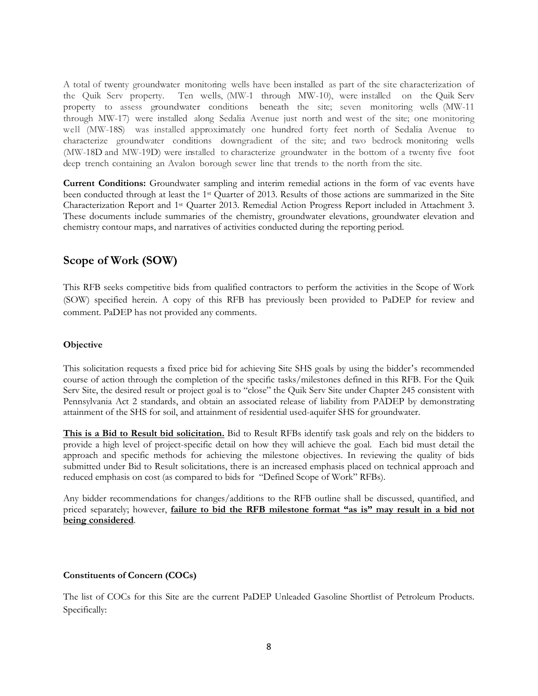A total of twenty groundwater monitoring wells have been installed as part of the site characterization of the Quik Serv property. Ten wells, (MW-1 through MW-10), were installed on the Quik Serv property to assess groundwater conditions beneath the site; seven monitoring wells (MW-11 through MW-17) were installed along Sedalia Avenue just north and west of the site; one monitoring well (MW-18S) was installed approximately one hundred forty feet north of Sedalia Avenue to characterize groundwater conditions downgradient of the site; and two bedrock monitoring wells (MW-18D and MW-19D) were installed to characterize groundwater in the bottom of a twenty five foot deep trench containing an Avalon borough sewer line that trends to the north from the site.

**Current Conditions:** Groundwater sampling and interim remedial actions in the form of vac events have been conducted through at least the 1st Quarter of 2013. Results of those actions are summarized in the Site Characterization Report and 1st Quarter 2013. Remedial Action Progress Report included in Attachment 3. These documents include summaries of the chemistry, groundwater elevations, groundwater elevation and chemistry contour maps, and narratives of activities conducted during the reporting period.

## **Scope of Work (SOW)**

This RFB seeks competitive bids from qualified contractors to perform the activities in the Scope of Work (SOW) specified herein. A copy of this RFB has previously been provided to PaDEP for review and comment. PaDEP has not provided any comments.

## **Objective**

This solicitation requests a fixed price bid for achieving Site SHS goals by using the bidder's recommended course of action through the completion of the specific tasks/milestones defined in this RFB. For the Quik Serv Site, the desired result or project goal is to "close" the Quik Serv Site under Chapter 245 consistent with Pennsylvania Act 2 standards, and obtain an associated release of liability from PADEP by demonstrating attainment of the SHS for soil, and attainment of residential used-aquifer SHS for groundwater.

**This is a Bid to Result bid solicitation.** Bid to Result RFBs identify task goals and rely on the bidders to provide a high level of project-specific detail on how they will achieve the goal. Each bid must detail the approach and specific methods for achieving the milestone objectives. In reviewing the quality of bids submitted under Bid to Result solicitations, there is an increased emphasis placed on technical approach and reduced emphasis on cost (as compared to bids for "Defined Scope of Work" RFBs).

Any bidder recommendations for changes/additions to the RFB outline shall be discussed, quantified, and priced separately; however, **failure to bid the RFB milestone format "as is" may result in a bid not being considered**.

## **Constituents of Concern (COCs)**

The list of COCs for this Site are the current PaDEP Unleaded Gasoline Shortlist of Petroleum Products. Specifically: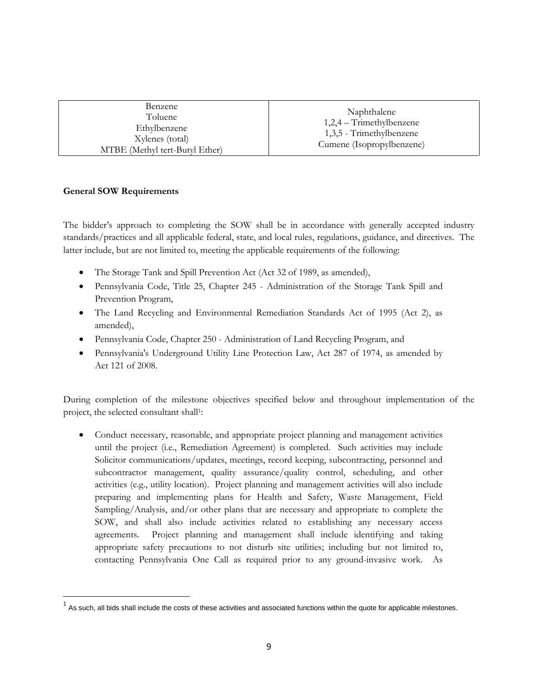| Benzene<br>Toluene<br>Ethylbenzene<br>Xylenes (total)<br>MTBE (Methyl tert-Butyl Ether) | Naphthalene<br>$1,2,4$ – Trimethylbenzene<br>1,3,5 - Trimethylbenzene<br>Cumene (Isopropylbenzene) |
|-----------------------------------------------------------------------------------------|----------------------------------------------------------------------------------------------------|

## **General SOW Requirements**

The bidder's approach to completing the SOW shall be in accordance with generally accepted industry standards/practices and all applicable federal, state, and local rules, regulations, guidance, and directives. The latter include, but are not limited to, meeting the applicable requirements of the following:

- The Storage Tank and Spill Prevention Act (Act 32 of 1989, as amended),
- Pennsylvania Code, Title 25, Chapter 245 Administration of the Storage Tank Spill and Prevention Program,
- The Land Recycling and Environmental Remediation Standards Act of 1995 (Act 2), as amended),
- Pennsylvania Code, Chapter 250 Administration of Land Recycling Program, and
- Pennsylvania's Underground Utility Line Protection Law, Act 287 of 1974, as amended by Act 121 of 2008.

During completion of the milestone objectives specified below and throughout implementation of the project, the selected consultant shall<sup>1</sup>:

• Conduct necessary, reasonable, and appropriate project planning and management activities until the project (i.e., Remediation Agreement) is completed. Such activities may include Solicitor communications/updates, meetings, record keeping, subcontracting, personnel and subcontractor management, quality assurance/quality control, scheduling, and other activities (e.g., utility location). Project planning and management activities will also include preparing and implementing plans for Health and Safety, Waste Management, Field Sampling/Analysis, and/or other plans that are necessary and appropriate to complete the SOW, and shall also include activities related to establishing any necessary access agreements. Project planning and management shall include identifying and taking appropriate safety precautions to not disturb site utilities; including but not limited to, contacting Pennsylvania One Call as required prior to any ground-invasive work. As

 $1$  As such, all bids shall include the costs of these activities and associated functions within the quote for applicable milestones.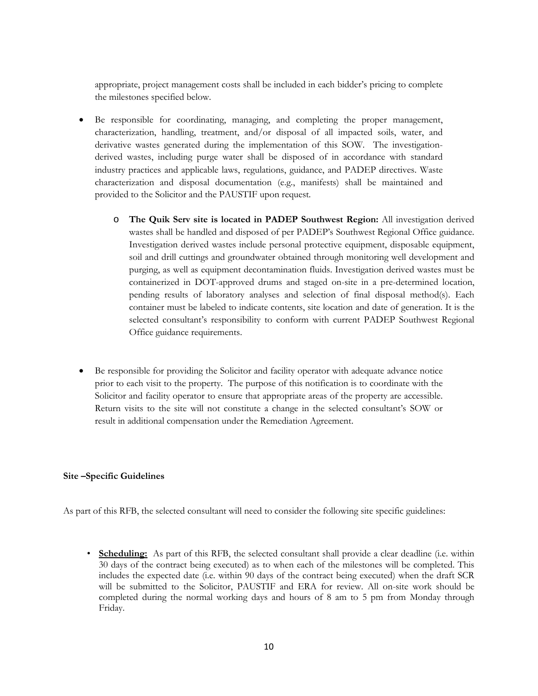appropriate, project management costs shall be included in each bidder's pricing to complete the milestones specified below.

- Be responsible for coordinating, managing, and completing the proper management, characterization, handling, treatment, and/or disposal of all impacted soils, water, and derivative wastes generated during the implementation of this SOW. The investigationderived wastes, including purge water shall be disposed of in accordance with standard industry practices and applicable laws, regulations, guidance, and PADEP directives. Waste characterization and disposal documentation (e.g., manifests) shall be maintained and provided to the Solicitor and the PAUSTIF upon request.
	- o **The Quik Serv site is located in PADEP Southwest Region:** All investigation derived wastes shall be handled and disposed of per PADEP's Southwest Regional Office guidance. Investigation derived wastes include personal protective equipment, disposable equipment, soil and drill cuttings and groundwater obtained through monitoring well development and purging, as well as equipment decontamination fluids. Investigation derived wastes must be containerized in DOT-approved drums and staged on-site in a pre-determined location, pending results of laboratory analyses and selection of final disposal method(s). Each container must be labeled to indicate contents, site location and date of generation. It is the selected consultant's responsibility to conform with current PADEP Southwest Regional Office guidance requirements.
- Be responsible for providing the Solicitor and facility operator with adequate advance notice prior to each visit to the property. The purpose of this notification is to coordinate with the Solicitor and facility operator to ensure that appropriate areas of the property are accessible. Return visits to the site will not constitute a change in the selected consultant's SOW or result in additional compensation under the Remediation Agreement.

### **Site –Specific Guidelines**

As part of this RFB, the selected consultant will need to consider the following site specific guidelines:

• **Scheduling:** As part of this RFB, the selected consultant shall provide a clear deadline (i.e. within 30 days of the contract being executed) as to when each of the milestones will be completed. This includes the expected date (i.e. within 90 days of the contract being executed) when the draft SCR will be submitted to the Solicitor, PAUSTIF and ERA for review. All on-site work should be completed during the normal working days and hours of 8 am to 5 pm from Monday through Friday.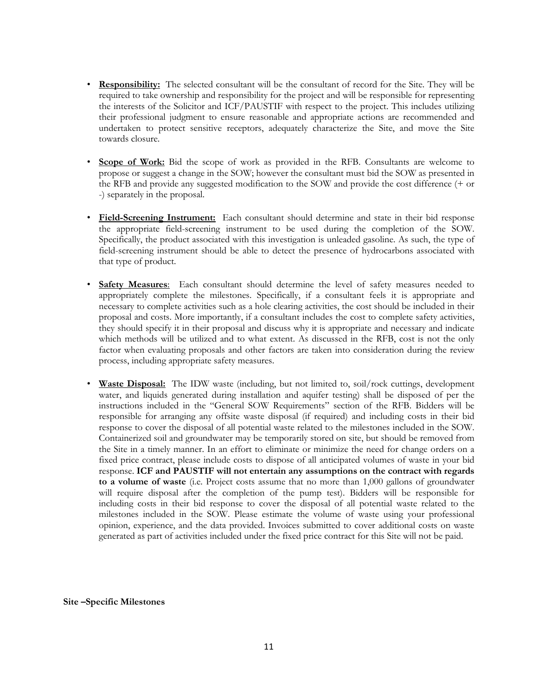- **Responsibility:** The selected consultant will be the consultant of record for the Site. They will be required to take ownership and responsibility for the project and will be responsible for representing the interests of the Solicitor and ICF/PAUSTIF with respect to the project. This includes utilizing their professional judgment to ensure reasonable and appropriate actions are recommended and undertaken to protect sensitive receptors, adequately characterize the Site, and move the Site towards closure.
- **Scope of Work:** Bid the scope of work as provided in the RFB. Consultants are welcome to propose or suggest a change in the SOW; however the consultant must bid the SOW as presented in the RFB and provide any suggested modification to the SOW and provide the cost difference (+ or -) separately in the proposal.
- **Field-Screening Instrument:** Each consultant should determine and state in their bid response the appropriate field-screening instrument to be used during the completion of the SOW. Specifically, the product associated with this investigation is unleaded gasoline. As such, the type of field-screening instrument should be able to detect the presence of hydrocarbons associated with that type of product.
- **Safety Measures**: Each consultant should determine the level of safety measures needed to appropriately complete the milestones. Specifically, if a consultant feels it is appropriate and necessary to complete activities such as a hole clearing activities, the cost should be included in their proposal and costs. More importantly, if a consultant includes the cost to complete safety activities, they should specify it in their proposal and discuss why it is appropriate and necessary and indicate which methods will be utilized and to what extent. As discussed in the RFB, cost is not the only factor when evaluating proposals and other factors are taken into consideration during the review process, including appropriate safety measures.
- **Waste Disposal:** The IDW waste (including, but not limited to, soil/rock cuttings, development water, and liquids generated during installation and aquifer testing) shall be disposed of per the instructions included in the "General SOW Requirements" section of the RFB. Bidders will be responsible for arranging any offsite waste disposal (if required) and including costs in their bid response to cover the disposal of all potential waste related to the milestones included in the SOW. Containerized soil and groundwater may be temporarily stored on site, but should be removed from the Site in a timely manner. In an effort to eliminate or minimize the need for change orders on a fixed price contract, please include costs to dispose of all anticipated volumes of waste in your bid response. **ICF and PAUSTIF will not entertain any assumptions on the contract with regards to a volume of waste** (i.e. Project costs assume that no more than 1,000 gallons of groundwater will require disposal after the completion of the pump test). Bidders will be responsible for including costs in their bid response to cover the disposal of all potential waste related to the milestones included in the SOW. Please estimate the volume of waste using your professional opinion, experience, and the data provided. Invoices submitted to cover additional costs on waste generated as part of activities included under the fixed price contract for this Site will not be paid.

#### **Site –Specific Milestones**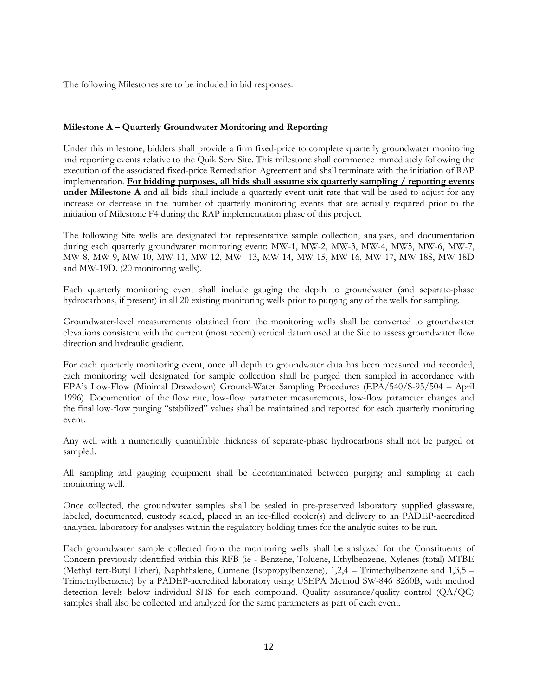The following Milestones are to be included in bid responses:

## **Milestone A – Quarterly Groundwater Monitoring and Reporting**

Under this milestone, bidders shall provide a firm fixed-price to complete quarterly groundwater monitoring and reporting events relative to the Quik Serv Site. This milestone shall commence immediately following the execution of the associated fixed-price Remediation Agreement and shall terminate with the initiation of RAP implementation. **For bidding purposes, all bids shall assume six quarterly sampling / reporting events under Milestone A** and all bids shall include a quarterly event unit rate that will be used to adjust for any increase or decrease in the number of quarterly monitoring events that are actually required prior to the initiation of Milestone F4 during the RAP implementation phase of this project.

The following Site wells are designated for representative sample collection, analyses, and documentation during each quarterly groundwater monitoring event: MW-1, MW-2, MW-3, MW-4, MW5, MW-6, MW-7, MW-8, MW-9, MW-10, MW-11, MW-12, MW- 13, MW-14, MW-15, MW-16, MW-17, MW-18S, MW-18D and MW-19D. (20 monitoring wells).

Each quarterly monitoring event shall include gauging the depth to groundwater (and separate-phase hydrocarbons, if present) in all 20 existing monitoring wells prior to purging any of the wells for sampling.

Groundwater-level measurements obtained from the monitoring wells shall be converted to groundwater elevations consistent with the current (most recent) vertical datum used at the Site to assess groundwater flow direction and hydraulic gradient.

For each quarterly monitoring event, once all depth to groundwater data has been measured and recorded, each monitoring well designated for sample collection shall be purged then sampled in accordance with EPA's Low-Flow (Minimal Drawdown) Ground-Water Sampling Procedures (EPA/540/S-95/504 – April 1996). Documention of the flow rate, low-flow parameter measurements, low-flow parameter changes and the final low-flow purging "stabilized" values shall be maintained and reported for each quarterly monitoring event.

Any well with a numerically quantifiable thickness of separate-phase hydrocarbons shall not be purged or sampled.

All sampling and gauging equipment shall be decontaminated between purging and sampling at each monitoring well.

Once collected, the groundwater samples shall be sealed in pre-preserved laboratory supplied glassware, labeled, documented, custody sealed, placed in an ice-filled cooler(s) and delivery to an PADEP-accredited analytical laboratory for analyses within the regulatory holding times for the analytic suites to be run.

Each groundwater sample collected from the monitoring wells shall be analyzed for the Constituents of Concern previously identified within this RFB (ie - Benzene, Toluene, Ethylbenzene, Xylenes (total) MTBE (Methyl tert-Butyl Ether), Naphthalene, Cumene (Isopropylbenzene), 1,2,4 – Trimethylbenzene and 1,3,5 – Trimethylbenzene) by a PADEP-accredited laboratory using USEPA Method SW-846 8260B, with method detection levels below individual SHS for each compound. Quality assurance/quality control (QA/QC) samples shall also be collected and analyzed for the same parameters as part of each event.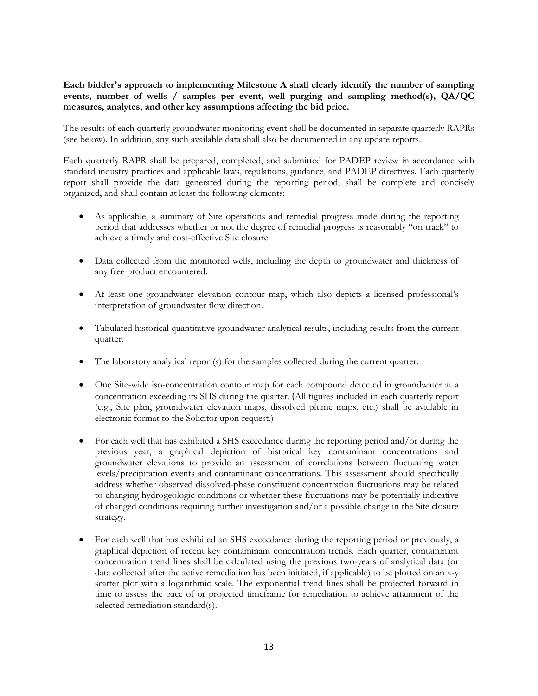## **Each bidder's approach to implementing Milestone A shall clearly identify the number of sampling events, number of wells / samples per event, well purging and sampling method(s), QA/QC measures, analytes, and other key assumptions affecting the bid price.**

The results of each quarterly groundwater monitoring event shall be documented in separate quarterly RAPRs (see below). In addition, any such available data shall also be documented in any update reports.

Each quarterly RAPR shall be prepared, completed, and submitted for PADEP review in accordance with standard industry practices and applicable laws, regulations, guidance, and PADEP directives. Each quarterly report shall provide the data generated during the reporting period, shall be complete and concisely organized, and shall contain at least the following elements:

- As applicable, a summary of Site operations and remedial progress made during the reporting period that addresses whether or not the degree of remedial progress is reasonably "on track" to achieve a timely and cost-effective Site closure.
- Data collected from the monitored wells, including the depth to groundwater and thickness of any free product encountered.
- At least one groundwater elevation contour map, which also depicts a licensed professional's interpretation of groundwater flow direction.
- Tabulated historical quantitative groundwater analytical results, including results from the current quarter.
- The laboratory analytical report(s) for the samples collected during the current quarter.
- One Site-wide iso-concentration contour map for each compound detected in groundwater at a concentration exceeding its SHS during the quarter. (All figures included in each quarterly report (e.g., Site plan, groundwater elevation maps, dissolved plume maps, etc.) shall be available in electronic format to the Solicitor upon request.)
- For each well that has exhibited a SHS exceedance during the reporting period and/or during the previous year, a graphical depiction of historical key contaminant concentrations and groundwater elevations to provide an assessment of correlations between fluctuating water levels/precipitation events and contaminant concentrations. This assessment should specifically address whether observed dissolved-phase constituent concentration fluctuations may be related to changing hydrogeologic conditions or whether these fluctuations may be potentially indicative of changed conditions requiring further investigation and/or a possible change in the Site closure strategy.
- For each well that has exhibited an SHS exceedance during the reporting period or previously, a graphical depiction of recent key contaminant concentration trends. Each quarter, contaminant concentration trend lines shall be calculated using the previous two-years of analytical data (or data collected after the active remediation has been initiated, if applicable) to be plotted on an x-y scatter plot with a logarithmic scale. The exponential trend lines shall be projected forward in time to assess the pace of or projected timeframe for remediation to achieve attainment of the selected remediation standard(s).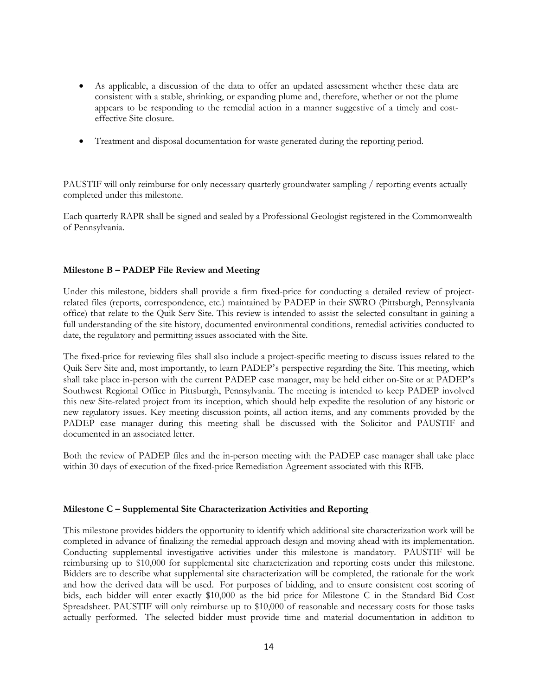- As applicable, a discussion of the data to offer an updated assessment whether these data are consistent with a stable, shrinking, or expanding plume and, therefore, whether or not the plume appears to be responding to the remedial action in a manner suggestive of a timely and costeffective Site closure.
- Treatment and disposal documentation for waste generated during the reporting period.

PAUSTIF will only reimburse for only necessary quarterly groundwater sampling / reporting events actually completed under this milestone.

Each quarterly RAPR shall be signed and sealed by a Professional Geologist registered in the Commonwealth of Pennsylvania.

## **Milestone B – PADEP File Review and Meeting**

Under this milestone, bidders shall provide a firm fixed-price for conducting a detailed review of projectrelated files (reports, correspondence, etc.) maintained by PADEP in their SWRO (Pittsburgh, Pennsylvania office) that relate to the Quik Serv Site. This review is intended to assist the selected consultant in gaining a full understanding of the site history, documented environmental conditions, remedial activities conducted to date, the regulatory and permitting issues associated with the Site.

The fixed-price for reviewing files shall also include a project-specific meeting to discuss issues related to the Quik Serv Site and, most importantly, to learn PADEP's perspective regarding the Site. This meeting, which shall take place in-person with the current PADEP case manager, may be held either on-Site or at PADEP's Southwest Regional Office in Pittsburgh, Pennsylvania. The meeting is intended to keep PADEP involved this new Site-related project from its inception, which should help expedite the resolution of any historic or new regulatory issues. Key meeting discussion points, all action items, and any comments provided by the PADEP case manager during this meeting shall be discussed with the Solicitor and PAUSTIF and documented in an associated letter.

Both the review of PADEP files and the in-person meeting with the PADEP case manager shall take place within 30 days of execution of the fixed-price Remediation Agreement associated with this RFB.

### **Milestone C – Supplemental Site Characterization Activities and Reporting**

This milestone provides bidders the opportunity to identify which additional site characterization work will be completed in advance of finalizing the remedial approach design and moving ahead with its implementation. Conducting supplemental investigative activities under this milestone is mandatory. PAUSTIF will be reimbursing up to \$10,000 for supplemental site characterization and reporting costs under this milestone. Bidders are to describe what supplemental site characterization will be completed, the rationale for the work and how the derived data will be used. For purposes of bidding, and to ensure consistent cost scoring of bids, each bidder will enter exactly \$10,000 as the bid price for Milestone C in the Standard Bid Cost Spreadsheet. PAUSTIF will only reimburse up to \$10,000 of reasonable and necessary costs for those tasks actually performed. The selected bidder must provide time and material documentation in addition to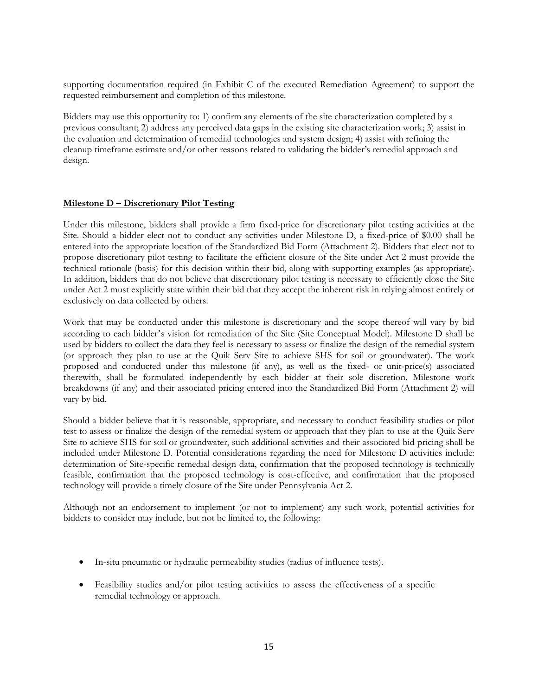supporting documentation required (in Exhibit C of the executed Remediation Agreement) to support the requested reimbursement and completion of this milestone.

Bidders may use this opportunity to: 1) confirm any elements of the site characterization completed by a previous consultant; 2) address any perceived data gaps in the existing site characterization work; 3) assist in the evaluation and determination of remedial technologies and system design; 4) assist with refining the cleanup timeframe estimate and/or other reasons related to validating the bidder's remedial approach and design.

## **Milestone D – Discretionary Pilot Testing**

Under this milestone, bidders shall provide a firm fixed-price for discretionary pilot testing activities at the Site. Should a bidder elect not to conduct any activities under Milestone D, a fixed-price of \$0.00 shall be entered into the appropriate location of the Standardized Bid Form (Attachment 2). Bidders that elect not to propose discretionary pilot testing to facilitate the efficient closure of the Site under Act 2 must provide the technical rationale (basis) for this decision within their bid, along with supporting examples (as appropriate). In addition, bidders that do not believe that discretionary pilot testing is necessary to efficiently close the Site under Act 2 must explicitly state within their bid that they accept the inherent risk in relying almost entirely or exclusively on data collected by others.

Work that may be conducted under this milestone is discretionary and the scope thereof will vary by bid according to each bidder's vision for remediation of the Site (Site Conceptual Model). Milestone D shall be used by bidders to collect the data they feel is necessary to assess or finalize the design of the remedial system (or approach they plan to use at the Quik Serv Site to achieve SHS for soil or groundwater). The work proposed and conducted under this milestone (if any), as well as the fixed- or unit-price(s) associated therewith, shall be formulated independently by each bidder at their sole discretion. Milestone work breakdowns (if any) and their associated pricing entered into the Standardized Bid Form (Attachment 2) will vary by bid.

Should a bidder believe that it is reasonable, appropriate, and necessary to conduct feasibility studies or pilot test to assess or finalize the design of the remedial system or approach that they plan to use at the Quik Serv Site to achieve SHS for soil or groundwater, such additional activities and their associated bid pricing shall be included under Milestone D. Potential considerations regarding the need for Milestone D activities include: determination of Site-specific remedial design data, confirmation that the proposed technology is technically feasible, confirmation that the proposed technology is cost-effective, and confirmation that the proposed technology will provide a timely closure of the Site under Pennsylvania Act 2.

Although not an endorsement to implement (or not to implement) any such work, potential activities for bidders to consider may include, but not be limited to, the following:

- In-situ pneumatic or hydraulic permeability studies (radius of influence tests).
- Feasibility studies and/or pilot testing activities to assess the effectiveness of a specific remedial technology or approach.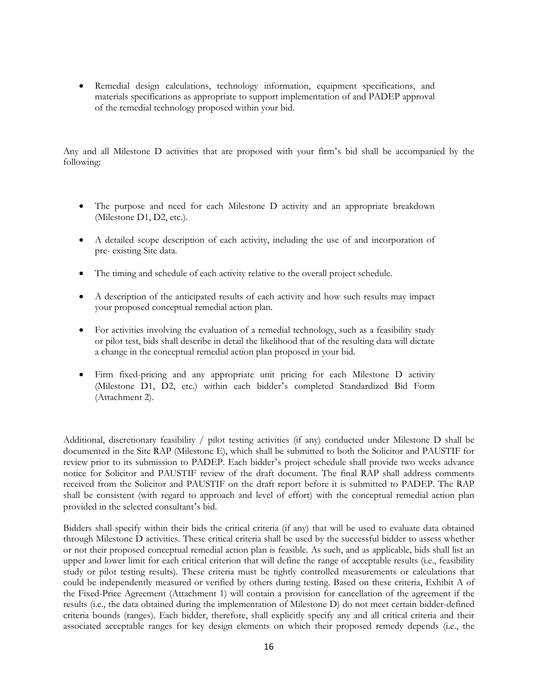• Remedial design calculations, technology information, equipment specifications, and materials specifications as appropriate to support implementation of and PADEP approval of the remedial technology proposed within your bid.

Any and all Milestone D activities that are proposed with your firm's bid shall be accompanied by the following:

- The purpose and need for each Milestone D activity and an appropriate breakdown (Milestone D1, D2, etc.).
- A detailed scope description of each activity, including the use of and incorporation of pre- existing Site data.
- The timing and schedule of each activity relative to the overall project schedule.
- A description of the anticipated results of each activity and how such results may impact your proposed conceptual remedial action plan.
- For activities involving the evaluation of a remedial technology, such as a feasibility study or pilot test, bids shall describe in detail the likelihood that of the resulting data will dictate a change in the conceptual remedial action plan proposed in your bid.
- Firm fixed-pricing and any appropriate unit pricing for each Milestone D activity (Milestone D1, D2, etc.) within each bidder's completed Standardized Bid Form (Attachment 2).

Additional, discretionary feasibility / pilot testing activities (if any) conducted under Milestone D shall be documented in the Site RAP (Milestone E), which shall be submitted to both the Solicitor and PAUSTIF for review prior to its submission to PADEP. Each bidder's project schedule shall provide two weeks advance notice for Solicitor and PAUSTIF review of the draft document. The final RAP shall address comments received from the Solicitor and PAUSTIF on the draft report before it is submitted to PADEP. The RAP shall be consistent (with regard to approach and level of effort) with the conceptual remedial action plan provided in the selected consultant's bid.

Bidders shall specify within their bids the critical criteria (if any) that will be used to evaluate data obtained through Milestone D activities. These critical criteria shall be used by the successful bidder to assess whether or not their proposed conceptual remedial action plan is feasible. As such, and as applicable, bids shall list an upper and lower limit for each critical criterion that will define the range of acceptable results (i.e., feasibility study or pilot testing results). These criteria must be tightly controlled measurements or calculations that could be independently measured or verified by others during testing. Based on these criteria, Exhibit A of the Fixed-Price Agreement (Attachment 1) will contain a provision for cancellation of the agreement if the results (i.e., the data obtained during the implementation of Milestone D) do not meet certain bidder-defined criteria bounds (ranges). Each bidder, therefore, shall explicitly specify any and all critical criteria and their associated acceptable ranges for key design elements on which their proposed remedy depends (i.e., the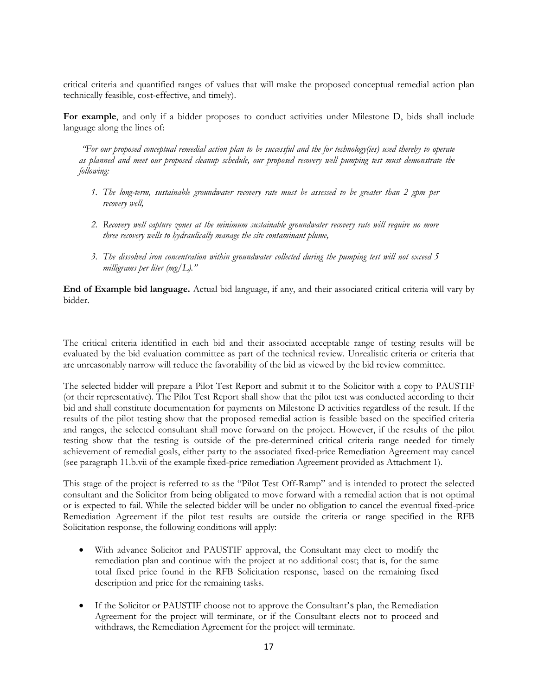critical criteria and quantified ranges of values that will make the proposed conceptual remedial action plan technically feasible, cost-effective, and timely).

**For example**, and only if a bidder proposes to conduct activities under Milestone D, bids shall include language along the lines of:

*"For our proposed conceptual remedial action plan to be successful and the for technology(ies) used thereby to operate as planned and meet our proposed cleanup schedule, our proposed recovery well pumping test must demonstrate the following:*

- *1. The long-term, sustainable groundwater recovery rate must be assessed to be greater than 2 gpm per recovery well,*
- *2. Recovery well capture zones at the minimum sustainable groundwater recovery rate will require no more three recovery wells to hydraulically manage the site contaminant plume,*
- *3. The dissolved iron concentration within groundwater collected during the pumping test will not exceed 5 milligrams per liter (mg/L)."*

**End of Example bid language.** Actual bid language, if any, and their associated critical criteria will vary by bidder.

The critical criteria identified in each bid and their associated acceptable range of testing results will be evaluated by the bid evaluation committee as part of the technical review. Unrealistic criteria or criteria that are unreasonably narrow will reduce the favorability of the bid as viewed by the bid review committee.

The selected bidder will prepare a Pilot Test Report and submit it to the Solicitor with a copy to PAUSTIF (or their representative). The Pilot Test Report shall show that the pilot test was conducted according to their bid and shall constitute documentation for payments on Milestone D activities regardless of the result. If the results of the pilot testing show that the proposed remedial action is feasible based on the specified criteria and ranges, the selected consultant shall move forward on the project. However, if the results of the pilot testing show that the testing is outside of the pre-determined critical criteria range needed for timely achievement of remedial goals, either party to the associated fixed-price Remediation Agreement may cancel (see paragraph 11.b.vii of the example fixed-price remediation Agreement provided as Attachment 1).

This stage of the project is referred to as the "Pilot Test Off-Ramp" and is intended to protect the selected consultant and the Solicitor from being obligated to move forward with a remedial action that is not optimal or is expected to fail. While the selected bidder will be under no obligation to cancel the eventual fixed-price Remediation Agreement if the pilot test results are outside the criteria or range specified in the RFB Solicitation response, the following conditions will apply:

- With advance Solicitor and PAUSTIF approval, the Consultant may elect to modify the remediation plan and continue with the project at no additional cost; that is, for the same total fixed price found in the RFB Solicitation response, based on the remaining fixed description and price for the remaining tasks.
- If the Solicitor or PAUSTIF choose not to approve the Consultant's plan, the Remediation Agreement for the project will terminate, or if the Consultant elects not to proceed and withdraws, the Remediation Agreement for the project will terminate.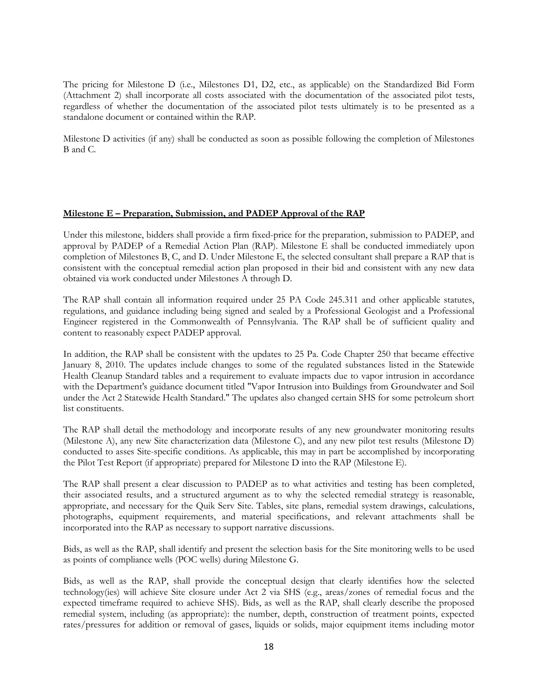The pricing for Milestone D (i.e., Milestones D1, D2, etc., as applicable) on the Standardized Bid Form (Attachment 2) shall incorporate all costs associated with the documentation of the associated pilot tests, regardless of whether the documentation of the associated pilot tests ultimately is to be presented as a standalone document or contained within the RAP.

Milestone D activities (if any) shall be conducted as soon as possible following the completion of Milestones B and C.

### **Milestone E – Preparation, Submission, and PADEP Approval of the RAP**

Under this milestone, bidders shall provide a firm fixed-price for the preparation, submission to PADEP, and approval by PADEP of a Remedial Action Plan (RAP). Milestone E shall be conducted immediately upon completion of Milestones B, C, and D. Under Milestone E, the selected consultant shall prepare a RAP that is consistent with the conceptual remedial action plan proposed in their bid and consistent with any new data obtained via work conducted under Milestones A through D.

The RAP shall contain all information required under 25 PA Code 245.311 and other applicable statutes, regulations, and guidance including being signed and sealed by a Professional Geologist and a Professional Engineer registered in the Commonwealth of Pennsylvania. The RAP shall be of sufficient quality and content to reasonably expect PADEP approval.

In addition, the RAP shall be consistent with the updates to 25 Pa. Code Chapter 250 that became effective January 8, 2010. The updates include changes to some of the regulated substances listed in the Statewide Health Cleanup Standard tables and a requirement to evaluate impacts due to vapor intrusion in accordance with the Department's guidance document titled "Vapor Intrusion into Buildings from Groundwater and Soil under the Act 2 Statewide Health Standard." The updates also changed certain SHS for some petroleum short list constituents.

The RAP shall detail the methodology and incorporate results of any new groundwater monitoring results (Milestone A), any new Site characterization data (Milestone C), and any new pilot test results (Milestone D) conducted to asses Site-specific conditions. As applicable, this may in part be accomplished by incorporating the Pilot Test Report (if appropriate) prepared for Milestone D into the RAP (Milestone E).

The RAP shall present a clear discussion to PADEP as to what activities and testing has been completed, their associated results, and a structured argument as to why the selected remedial strategy is reasonable, appropriate, and necessary for the Quik Serv Site. Tables, site plans, remedial system drawings, calculations, photographs, equipment requirements, and material specifications, and relevant attachments shall be incorporated into the RAP as necessary to support narrative discussions.

Bids, as well as the RAP, shall identify and present the selection basis for the Site monitoring wells to be used as points of compliance wells (POC wells) during Milestone G.

Bids, as well as the RAP, shall provide the conceptual design that clearly identifies how the selected technology(ies) will achieve Site closure under Act 2 via SHS (e.g., areas/zones of remedial focus and the expected timeframe required to achieve SHS). Bids, as well as the RAP, shall clearly describe the proposed remedial system, including (as appropriate): the number, depth, construction of treatment points, expected rates/pressures for addition or removal of gases, liquids or solids, major equipment items including motor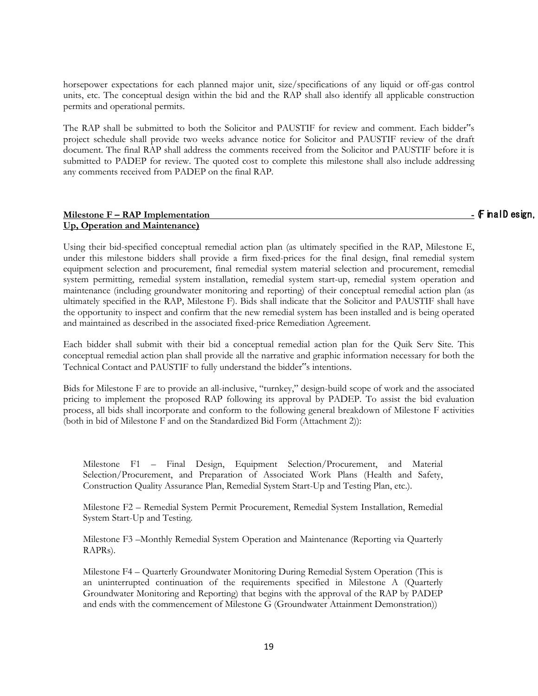horsepower expectations for each planned major unit, size/specifications of any liquid or off-gas control units, etc. The conceptual design within the bid and the RAP shall also identify all applicable construction permits and operational permits.

The RAP shall be submitted to both the Solicitor and PAUSTIF for review and comment. Each bidder"s project schedule shall provide two weeks advance notice for Solicitor and PAUSTIF review of the draft document. The final RAP shall address the comments received from the Solicitor and PAUSTIF before it is submitted to PADEP for review. The quoted cost to complete this milestone shall also include addressing any comments received from PADEP on the final RAP.

## **Milestone F – RAP Implementation -** (F inal D esign, **Up, Operation and Maintenance)**

Using their bid-specified conceptual remedial action plan (as ultimately specified in the RAP, Milestone E, under this milestone bidders shall provide a firm fixed-prices for the final design, final remedial system equipment selection and procurement, final remedial system material selection and procurement, remedial system permitting, remedial system installation, remedial system start-up, remedial system operation and maintenance (including groundwater monitoring and reporting) of their conceptual remedial action plan (as ultimately specified in the RAP, Milestone F). Bids shall indicate that the Solicitor and PAUSTIF shall have the opportunity to inspect and confirm that the new remedial system has been installed and is being operated and maintained as described in the associated fixed-price Remediation Agreement.

Each bidder shall submit with their bid a conceptual remedial action plan for the Quik Serv Site. This conceptual remedial action plan shall provide all the narrative and graphic information necessary for both the Technical Contact and PAUSTIF to fully understand the bidder"s intentions.

Bids for Milestone F are to provide an all-inclusive, "turnkey," design-build scope of work and the associated pricing to implement the proposed RAP following its approval by PADEP. To assist the bid evaluation process, all bids shall incorporate and conform to the following general breakdown of Milestone F activities (both in bid of Milestone F and on the Standardized Bid Form (Attachment 2)):

Milestone F1 – Final Design, Equipment Selection/Procurement, and Material Selection/Procurement, and Preparation of Associated Work Plans (Health and Safety, Construction Quality Assurance Plan, Remedial System Start-Up and Testing Plan, etc.).

Milestone F2 – Remedial System Permit Procurement, Remedial System Installation, Remedial System Start-Up and Testing.

Milestone F3 –Monthly Remedial System Operation and Maintenance (Reporting via Quarterly RAPRs).

Milestone F4 – Quarterly Groundwater Monitoring During Remedial System Operation (This is an uninterrupted continuation of the requirements specified in Milestone A (Quarterly Groundwater Monitoring and Reporting) that begins with the approval of the RAP by PADEP and ends with the commencement of Milestone G (Groundwater Attainment Demonstration))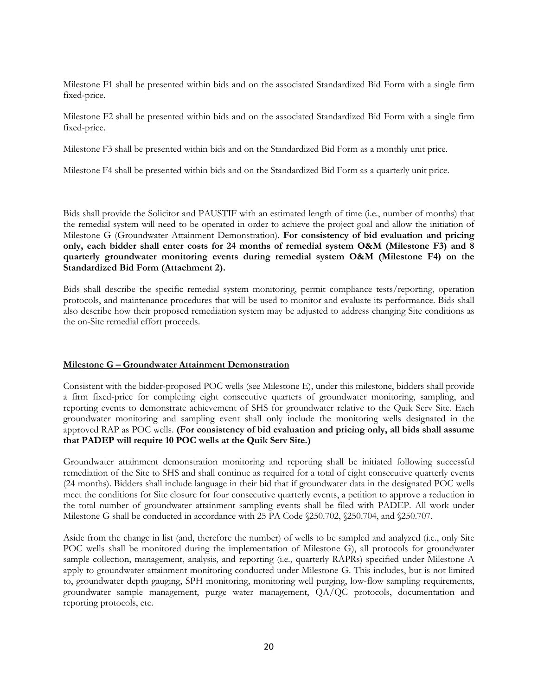Milestone F1 shall be presented within bids and on the associated Standardized Bid Form with a single firm fixed-price.

Milestone F2 shall be presented within bids and on the associated Standardized Bid Form with a single firm fixed-price.

Milestone F3 shall be presented within bids and on the Standardized Bid Form as a monthly unit price.

Milestone F4 shall be presented within bids and on the Standardized Bid Form as a quarterly unit price.

Bids shall provide the Solicitor and PAUSTIF with an estimated length of time (i.e., number of months) that the remedial system will need to be operated in order to achieve the project goal and allow the initiation of Milestone G (Groundwater Attainment Demonstration). **For consistency of bid evaluation and pricing only, each bidder shall enter costs for 24 months of remedial system O&M (Milestone F3) and 8 quarterly groundwater monitoring events during remedial system O&M (Milestone F4) on the Standardized Bid Form (Attachment 2).**

Bids shall describe the specific remedial system monitoring, permit compliance tests/reporting, operation protocols, and maintenance procedures that will be used to monitor and evaluate its performance. Bids shall also describe how their proposed remediation system may be adjusted to address changing Site conditions as the on-Site remedial effort proceeds.

### **Milestone G – Groundwater Attainment Demonstration**

Consistent with the bidder-proposed POC wells (see Milestone E), under this milestone, bidders shall provide a firm fixed-price for completing eight consecutive quarters of groundwater monitoring, sampling, and reporting events to demonstrate achievement of SHS for groundwater relative to the Quik Serv Site. Each groundwater monitoring and sampling event shall only include the monitoring wells designated in the approved RAP as POC wells. **(For consistency of bid evaluation and pricing only, all bids shall assume that PADEP will require 10 POC wells at the Quik Serv Site.)**

Groundwater attainment demonstration monitoring and reporting shall be initiated following successful remediation of the Site to SHS and shall continue as required for a total of eight consecutive quarterly events (24 months). Bidders shall include language in their bid that if groundwater data in the designated POC wells meet the conditions for Site closure for four consecutive quarterly events, a petition to approve a reduction in the total number of groundwater attainment sampling events shall be filed with PADEP. All work under Milestone G shall be conducted in accordance with 25 PA Code  $\S250.702$ ,  $\S250.704$ , and  $\S250.707$ .

Aside from the change in list (and, therefore the number) of wells to be sampled and analyzed (i.e., only Site POC wells shall be monitored during the implementation of Milestone G), all protocols for groundwater sample collection, management, analysis, and reporting (i.e., quarterly RAPRs) specified under Milestone A apply to groundwater attainment monitoring conducted under Milestone G. This includes, but is not limited to, groundwater depth gauging, SPH monitoring, monitoring well purging, low-flow sampling requirements, groundwater sample management, purge water management, QA/QC protocols, documentation and reporting protocols, etc.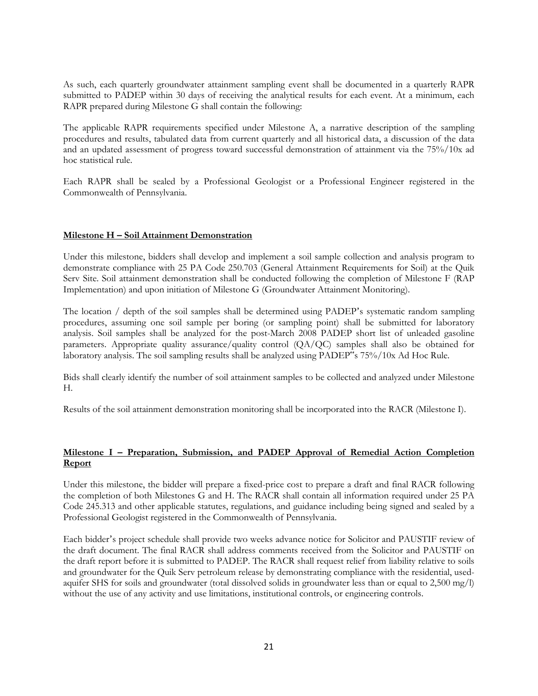As such, each quarterly groundwater attainment sampling event shall be documented in a quarterly RAPR submitted to PADEP within 30 days of receiving the analytical results for each event. At a minimum, each RAPR prepared during Milestone G shall contain the following:

The applicable RAPR requirements specified under Milestone A, a narrative description of the sampling procedures and results, tabulated data from current quarterly and all historical data, a discussion of the data and an updated assessment of progress toward successful demonstration of attainment via the 75%/10x ad hoc statistical rule.

Each RAPR shall be sealed by a Professional Geologist or a Professional Engineer registered in the Commonwealth of Pennsylvania.

## **Milestone H – Soil Attainment Demonstration**

Under this milestone, bidders shall develop and implement a soil sample collection and analysis program to demonstrate compliance with 25 PA Code 250.703 (General Attainment Requirements for Soil) at the Quik Serv Site. Soil attainment demonstration shall be conducted following the completion of Milestone F (RAP Implementation) and upon initiation of Milestone G (Groundwater Attainment Monitoring).

The location / depth of the soil samples shall be determined using PADEP's systematic random sampling procedures, assuming one soil sample per boring (or sampling point) shall be submitted for laboratory analysis. Soil samples shall be analyzed for the post-March 2008 PADEP short list of unleaded gasoline parameters. Appropriate quality assurance/quality control (QA/QC) samples shall also be obtained for laboratory analysis. The soil sampling results shall be analyzed using PADEP"s 75%/10x Ad Hoc Rule.

Bids shall clearly identify the number of soil attainment samples to be collected and analyzed under Milestone H.

Results of the soil attainment demonstration monitoring shall be incorporated into the RACR (Milestone I).

## **Milestone I – Preparation, Submission, and PADEP Approval of Remedial Action Completion Report**

Under this milestone, the bidder will prepare a fixed-price cost to prepare a draft and final RACR following the completion of both Milestones G and H. The RACR shall contain all information required under 25 PA Code 245.313 and other applicable statutes, regulations, and guidance including being signed and sealed by a Professional Geologist registered in the Commonwealth of Pennsylvania.

Each bidder's project schedule shall provide two weeks advance notice for Solicitor and PAUSTIF review of the draft document. The final RACR shall address comments received from the Solicitor and PAUSTIF on the draft report before it is submitted to PADEP. The RACR shall request relief from liability relative to soils and groundwater for the Quik Serv petroleum release by demonstrating compliance with the residential, usedaquifer SHS for soils and groundwater (total dissolved solids in groundwater less than or equal to 2,500 mg/l) without the use of any activity and use limitations, institutional controls, or engineering controls.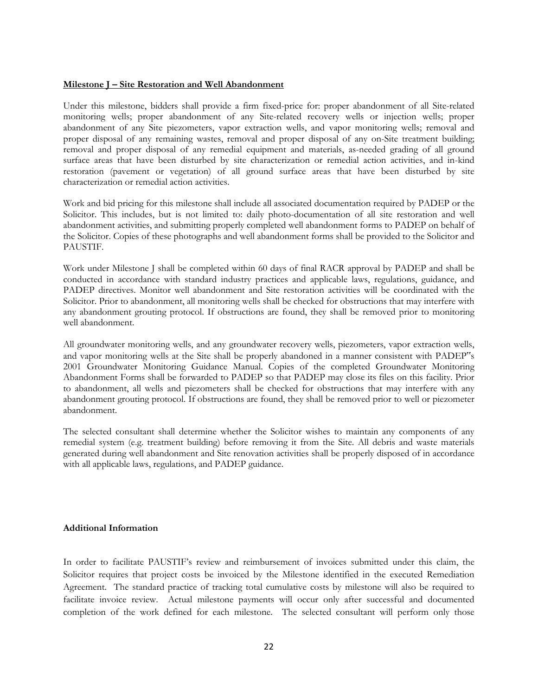#### **Milestone J – Site Restoration and Well Abandonment**

Under this milestone, bidders shall provide a firm fixed-price for: proper abandonment of all Site-related monitoring wells; proper abandonment of any Site-related recovery wells or injection wells; proper abandonment of any Site piezometers, vapor extraction wells, and vapor monitoring wells; removal and proper disposal of any remaining wastes, removal and proper disposal of any on-Site treatment building; removal and proper disposal of any remedial equipment and materials, as-needed grading of all ground surface areas that have been disturbed by site characterization or remedial action activities, and in-kind restoration (pavement or vegetation) of all ground surface areas that have been disturbed by site characterization or remedial action activities.

Work and bid pricing for this milestone shall include all associated documentation required by PADEP or the Solicitor. This includes, but is not limited to: daily photo-documentation of all site restoration and well abandonment activities, and submitting properly completed well abandonment forms to PADEP on behalf of the Solicitor. Copies of these photographs and well abandonment forms shall be provided to the Solicitor and PAUSTIF.

Work under Milestone J shall be completed within 60 days of final RACR approval by PADEP and shall be conducted in accordance with standard industry practices and applicable laws, regulations, guidance, and PADEP directives. Monitor well abandonment and Site restoration activities will be coordinated with the Solicitor. Prior to abandonment, all monitoring wells shall be checked for obstructions that may interfere with any abandonment grouting protocol. If obstructions are found, they shall be removed prior to monitoring well abandonment.

All groundwater monitoring wells, and any groundwater recovery wells, piezometers, vapor extraction wells, and vapor monitoring wells at the Site shall be properly abandoned in a manner consistent with PADEP"s 2001 Groundwater Monitoring Guidance Manual. Copies of the completed Groundwater Monitoring Abandonment Forms shall be forwarded to PADEP so that PADEP may close its files on this facility. Prior to abandonment, all wells and piezometers shall be checked for obstructions that may interfere with any abandonment grouting protocol. If obstructions are found, they shall be removed prior to well or piezometer abandonment.

The selected consultant shall determine whether the Solicitor wishes to maintain any components of any remedial system (e.g. treatment building) before removing it from the Site. All debris and waste materials generated during well abandonment and Site renovation activities shall be properly disposed of in accordance with all applicable laws, regulations, and PADEP guidance.

### **Additional Information**

In order to facilitate PAUSTIF's review and reimbursement of invoices submitted under this claim, the Solicitor requires that project costs be invoiced by the Milestone identified in the executed Remediation Agreement. The standard practice of tracking total cumulative costs by milestone will also be required to facilitate invoice review. Actual milestone payments will occur only after successful and documented completion of the work defined for each milestone. The selected consultant will perform only those